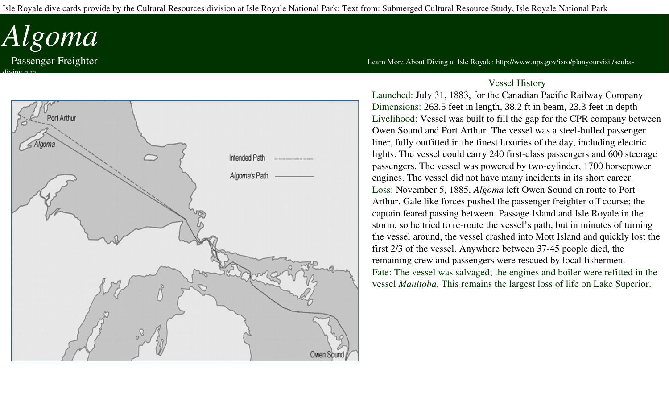Isle Royale dive cards provide by the Cultural Resources division at Isle Royale National Park; Text from: Submerged Cultural Resource Study, Isle Royale National Park

## *Algoma*

diving.htm



Passenger Freighter **The Example 2018** Clearn More About Diving at Isle Royale: http://www.nps.gov/isro/planyourvisit/scuba-

## Vessel History

Launched: July 31, 1883, for the Canadian Pacific Railway Company Dimensions: 263.5 feet in length, 38.2 ft in beam, 23.3 feet in depth Livelihood: Vessel was built to fill the gap for the CPR company between Owen Sound and Port Arthur. The vessel was a steel-hulled passenger liner, fully outfitted in the finest luxuries of the day, including electric lights. The vessel could carry 240 first-class passengers and 600 steerage passengers. The vessel was powered by two-cylinder, 1700 horsepower engines. The vessel did not have many incidents in its short career. Loss: November 5, 1885, *Algoma* left Owen Sound en route to Port Arthur. Gale like forces pushed the passenger freighter off course; the captain feared passing between Passage Island and Isle Royale in the storm, so he tried to re-route the vessel's path, but in minutes of turning the vessel around, the vessel crashed into Mott Island and quickly lost the first 2/3 of the vessel. Anywhere between 37-45 people died, the remaining crew and passengers were rescued by local fishermen. Fate: The vessel was salvaged; the engines and boiler were refitted in the vessel *Manitoba*. This remains the largest loss of life on Lake Superior.